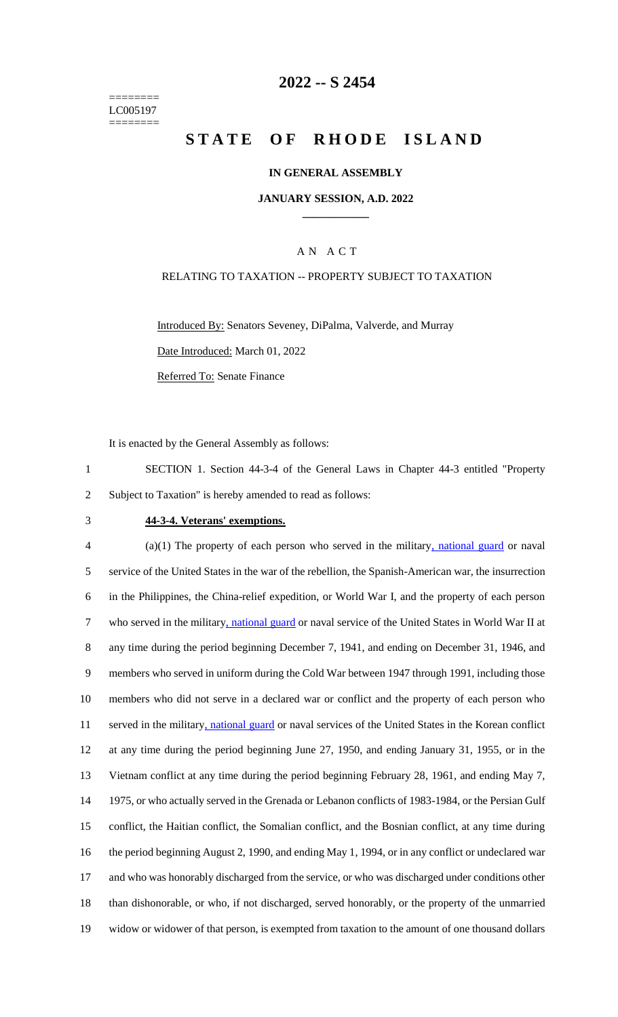======== LC005197 ========

## **2022 -- S 2454**

# **STATE OF RHODE ISLAND**

### **IN GENERAL ASSEMBLY**

### **JANUARY SESSION, A.D. 2022 \_\_\_\_\_\_\_\_\_\_\_\_**

### A N A C T

### RELATING TO TAXATION -- PROPERTY SUBJECT TO TAXATION

Introduced By: Senators Seveney, DiPalma, Valverde, and Murray Date Introduced: March 01, 2022

Referred To: Senate Finance

It is enacted by the General Assembly as follows:

1 SECTION 1. Section 44-3-4 of the General Laws in Chapter 44-3 entitled "Property 2 Subject to Taxation" is hereby amended to read as follows:

### 3 **44-3-4. Veterans' exemptions.**

4 (a)(1) The property of each person who served in the military, national guard or naval service of the United States in the war of the rebellion, the Spanish-American war, the insurrection in the Philippines, the China-relief expedition, or World War I, and the property of each person who served in the military, national guard or naval service of the United States in World War II at any time during the period beginning December 7, 1941, and ending on December 31, 1946, and members who served in uniform during the Cold War between 1947 through 1991, including those members who did not serve in a declared war or conflict and the property of each person who served in the military, national guard or naval services of the United States in the Korean conflict at any time during the period beginning June 27, 1950, and ending January 31, 1955, or in the Vietnam conflict at any time during the period beginning February 28, 1961, and ending May 7, 1975, or who actually served in the Grenada or Lebanon conflicts of 1983-1984, or the Persian Gulf conflict, the Haitian conflict, the Somalian conflict, and the Bosnian conflict, at any time during the period beginning August 2, 1990, and ending May 1, 1994, or in any conflict or undeclared war 17 and who was honorably discharged from the service, or who was discharged under conditions other than dishonorable, or who, if not discharged, served honorably, or the property of the unmarried widow or widower of that person, is exempted from taxation to the amount of one thousand dollars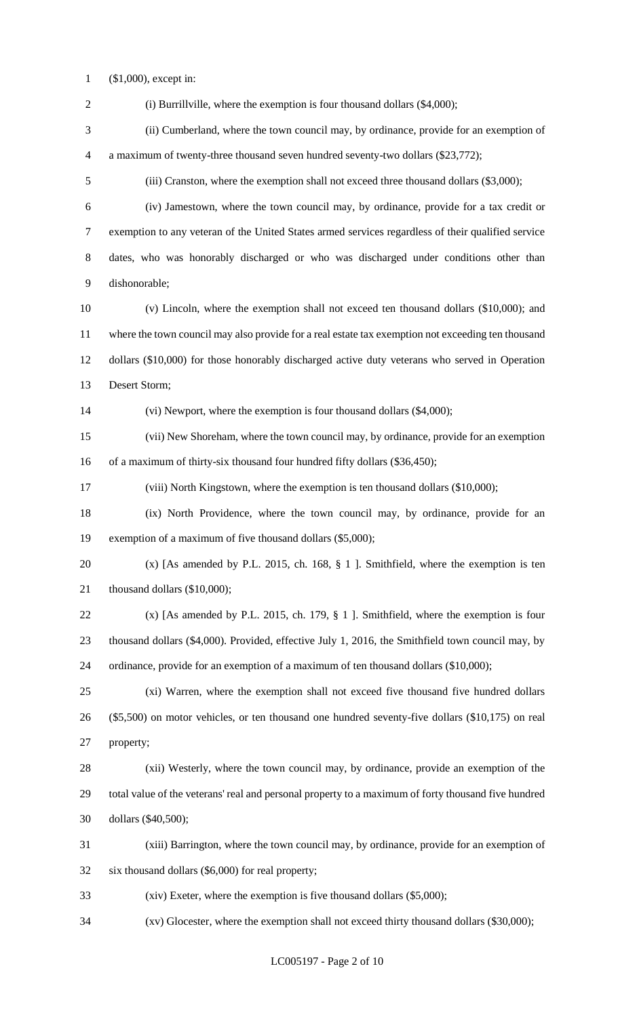(\$1,000), except in:

2 (i) Burrillville, where the exemption is four thousand dollars (\$4,000); (ii) Cumberland, where the town council may, by ordinance, provide for an exemption of a maximum of twenty-three thousand seven hundred seventy-two dollars (\$23,772); (iii) Cranston, where the exemption shall not exceed three thousand dollars (\$3,000); (iv) Jamestown, where the town council may, by ordinance, provide for a tax credit or exemption to any veteran of the United States armed services regardless of their qualified service dates, who was honorably discharged or who was discharged under conditions other than dishonorable; (v) Lincoln, where the exemption shall not exceed ten thousand dollars (\$10,000); and where the town council may also provide for a real estate tax exemption not exceeding ten thousand dollars (\$10,000) for those honorably discharged active duty veterans who served in Operation Desert Storm; (vi) Newport, where the exemption is four thousand dollars (\$4,000); (vii) New Shoreham, where the town council may, by ordinance, provide for an exemption 16 of a maximum of thirty-six thousand four hundred fifty dollars (\$36,450); (viii) North Kingstown, where the exemption is ten thousand dollars (\$10,000); (ix) North Providence, where the town council may, by ordinance, provide for an exemption of a maximum of five thousand dollars (\$5,000); (x) [As amended by P.L. 2015, ch. 168, § 1 ]. Smithfield, where the exemption is ten 21 thousand dollars (\$10,000); (x) [As amended by P.L. 2015, ch. 179, § 1 ]. Smithfield, where the exemption is four thousand dollars (\$4,000). Provided, effective July 1, 2016, the Smithfield town council may, by ordinance, provide for an exemption of a maximum of ten thousand dollars (\$10,000); (xi) Warren, where the exemption shall not exceed five thousand five hundred dollars (\$5,500) on motor vehicles, or ten thousand one hundred seventy-five dollars (\$10,175) on real property; (xii) Westerly, where the town council may, by ordinance, provide an exemption of the total value of the veterans' real and personal property to a maximum of forty thousand five hundred dollars (\$40,500); (xiii) Barrington, where the town council may, by ordinance, provide for an exemption of six thousand dollars (\$6,000) for real property; (xiv) Exeter, where the exemption is five thousand dollars (\$5,000); (xv) Glocester, where the exemption shall not exceed thirty thousand dollars (\$30,000);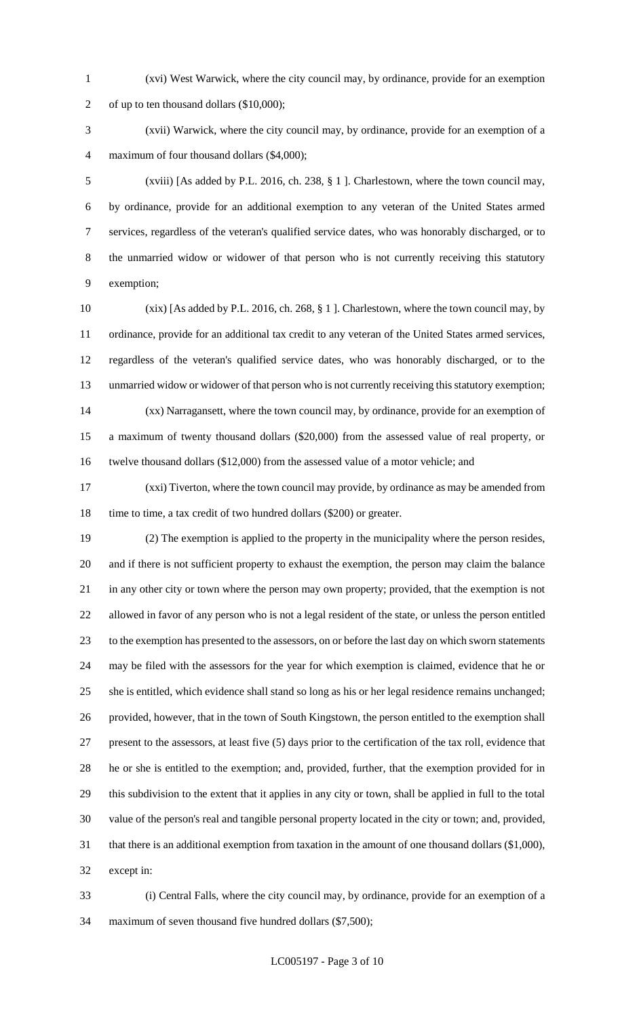(xvi) West Warwick, where the city council may, by ordinance, provide for an exemption of up to ten thousand dollars (\$10,000);

 (xvii) Warwick, where the city council may, by ordinance, provide for an exemption of a maximum of four thousand dollars (\$4,000);

 (xviii) [As added by P.L. 2016, ch. 238, § 1 ]. Charlestown, where the town council may, by ordinance, provide for an additional exemption to any veteran of the United States armed services, regardless of the veteran's qualified service dates, who was honorably discharged, or to the unmarried widow or widower of that person who is not currently receiving this statutory exemption;

 (xix) [As added by P.L. 2016, ch. 268, § 1 ]. Charlestown, where the town council may, by ordinance, provide for an additional tax credit to any veteran of the United States armed services, regardless of the veteran's qualified service dates, who was honorably discharged, or to the unmarried widow or widower of that person who is not currently receiving this statutory exemption; (xx) Narragansett, where the town council may, by ordinance, provide for an exemption of a maximum of twenty thousand dollars (\$20,000) from the assessed value of real property, or twelve thousand dollars (\$12,000) from the assessed value of a motor vehicle; and

 (xxi) Tiverton, where the town council may provide, by ordinance as may be amended from 18 time to time, a tax credit of two hundred dollars (\$200) or greater.

 (2) The exemption is applied to the property in the municipality where the person resides, and if there is not sufficient property to exhaust the exemption, the person may claim the balance in any other city or town where the person may own property; provided, that the exemption is not allowed in favor of any person who is not a legal resident of the state, or unless the person entitled to the exemption has presented to the assessors, on or before the last day on which sworn statements may be filed with the assessors for the year for which exemption is claimed, evidence that he or she is entitled, which evidence shall stand so long as his or her legal residence remains unchanged; provided, however, that in the town of South Kingstown, the person entitled to the exemption shall present to the assessors, at least five (5) days prior to the certification of the tax roll, evidence that he or she is entitled to the exemption; and, provided, further, that the exemption provided for in this subdivision to the extent that it applies in any city or town, shall be applied in full to the total value of the person's real and tangible personal property located in the city or town; and, provided, that there is an additional exemption from taxation in the amount of one thousand dollars (\$1,000), except in:

 (i) Central Falls, where the city council may, by ordinance, provide for an exemption of a maximum of seven thousand five hundred dollars (\$7,500);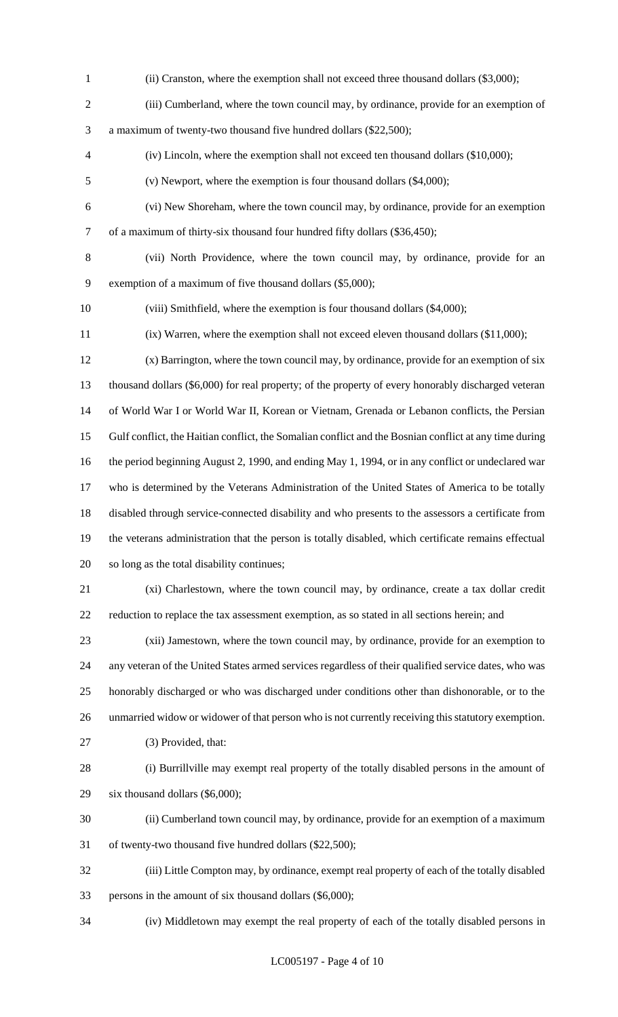- (ii) Cranston, where the exemption shall not exceed three thousand dollars (\$3,000); (iii) Cumberland, where the town council may, by ordinance, provide for an exemption of a maximum of twenty-two thousand five hundred dollars (\$22,500); (iv) Lincoln, where the exemption shall not exceed ten thousand dollars (\$10,000); (v) Newport, where the exemption is four thousand dollars (\$4,000); (vi) New Shoreham, where the town council may, by ordinance, provide for an exemption of a maximum of thirty-six thousand four hundred fifty dollars (\$36,450); (vii) North Providence, where the town council may, by ordinance, provide for an exemption of a maximum of five thousand dollars (\$5,000); (viii) Smithfield, where the exemption is four thousand dollars (\$4,000); (ix) Warren, where the exemption shall not exceed eleven thousand dollars (\$11,000); (x) Barrington, where the town council may, by ordinance, provide for an exemption of six thousand dollars (\$6,000) for real property; of the property of every honorably discharged veteran of World War I or World War II, Korean or Vietnam, Grenada or Lebanon conflicts, the Persian Gulf conflict, the Haitian conflict, the Somalian conflict and the Bosnian conflict at any time during the period beginning August 2, 1990, and ending May 1, 1994, or in any conflict or undeclared war who is determined by the Veterans Administration of the United States of America to be totally disabled through service-connected disability and who presents to the assessors a certificate from the veterans administration that the person is totally disabled, which certificate remains effectual so long as the total disability continues; (xi) Charlestown, where the town council may, by ordinance, create a tax dollar credit reduction to replace the tax assessment exemption, as so stated in all sections herein; and (xii) Jamestown, where the town council may, by ordinance, provide for an exemption to any veteran of the United States armed services regardless of their qualified service dates, who was honorably discharged or who was discharged under conditions other than dishonorable, or to the unmarried widow or widower of that person who is not currently receiving this statutory exemption. (3) Provided, that: (i) Burrillville may exempt real property of the totally disabled persons in the amount of
- six thousand dollars (\$6,000);
- (ii) Cumberland town council may, by ordinance, provide for an exemption of a maximum of twenty-two thousand five hundred dollars (\$22,500);
- (iii) Little Compton may, by ordinance, exempt real property of each of the totally disabled persons in the amount of six thousand dollars (\$6,000);
- (iv) Middletown may exempt the real property of each of the totally disabled persons in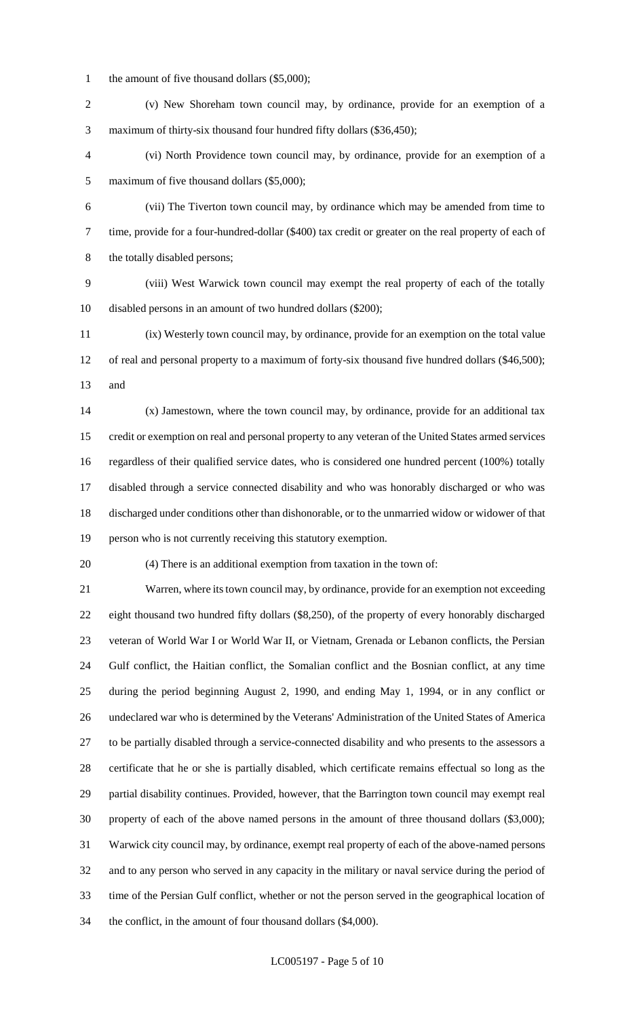- 1 the amount of five thousand dollars (\$5,000);
- (v) New Shoreham town council may, by ordinance, provide for an exemption of a maximum of thirty-six thousand four hundred fifty dollars (\$36,450);
- (vi) North Providence town council may, by ordinance, provide for an exemption of a maximum of five thousand dollars (\$5,000);
- (vii) The Tiverton town council may, by ordinance which may be amended from time to time, provide for a four-hundred-dollar (\$400) tax credit or greater on the real property of each of 8 the totally disabled persons;
- (viii) West Warwick town council may exempt the real property of each of the totally disabled persons in an amount of two hundred dollars (\$200);
- (ix) Westerly town council may, by ordinance, provide for an exemption on the total value 12 of real and personal property to a maximum of forty-six thousand five hundred dollars (\$46,500); and
- (x) Jamestown, where the town council may, by ordinance, provide for an additional tax credit or exemption on real and personal property to any veteran of the United States armed services regardless of their qualified service dates, who is considered one hundred percent (100%) totally disabled through a service connected disability and who was honorably discharged or who was discharged under conditions other than dishonorable, or to the unmarried widow or widower of that person who is not currently receiving this statutory exemption.
- 

(4) There is an additional exemption from taxation in the town of:

 Warren, where its town council may, by ordinance, provide for an exemption not exceeding eight thousand two hundred fifty dollars (\$8,250), of the property of every honorably discharged veteran of World War I or World War II, or Vietnam, Grenada or Lebanon conflicts, the Persian Gulf conflict, the Haitian conflict, the Somalian conflict and the Bosnian conflict, at any time during the period beginning August 2, 1990, and ending May 1, 1994, or in any conflict or undeclared war who is determined by the Veterans' Administration of the United States of America to be partially disabled through a service-connected disability and who presents to the assessors a certificate that he or she is partially disabled, which certificate remains effectual so long as the partial disability continues. Provided, however, that the Barrington town council may exempt real property of each of the above named persons in the amount of three thousand dollars (\$3,000); Warwick city council may, by ordinance, exempt real property of each of the above-named persons and to any person who served in any capacity in the military or naval service during the period of time of the Persian Gulf conflict, whether or not the person served in the geographical location of the conflict, in the amount of four thousand dollars (\$4,000).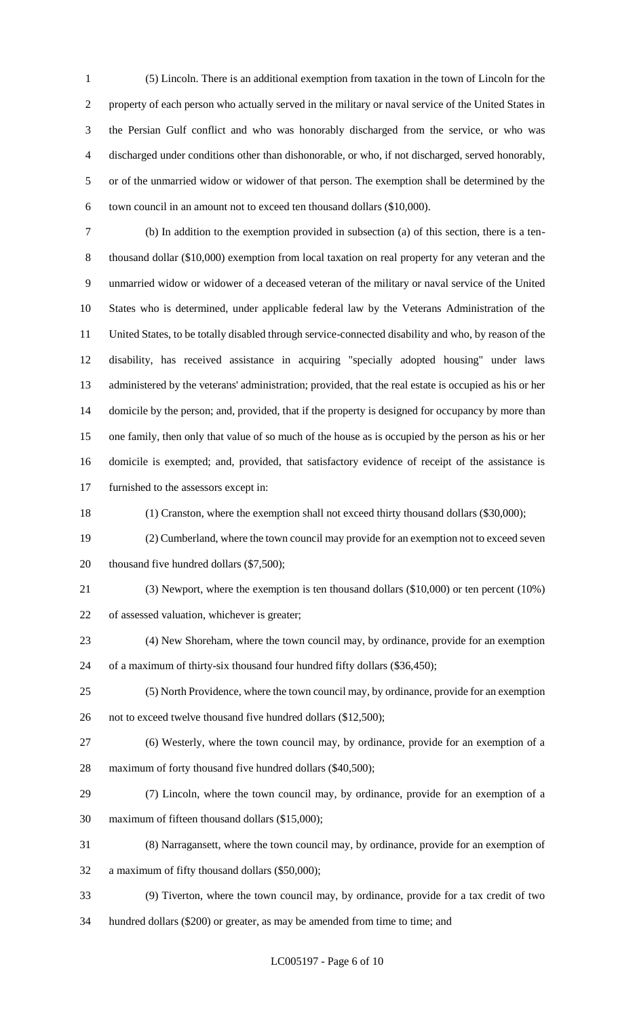(5) Lincoln. There is an additional exemption from taxation in the town of Lincoln for the property of each person who actually served in the military or naval service of the United States in the Persian Gulf conflict and who was honorably discharged from the service, or who was discharged under conditions other than dishonorable, or who, if not discharged, served honorably, or of the unmarried widow or widower of that person. The exemption shall be determined by the town council in an amount not to exceed ten thousand dollars (\$10,000).

 (b) In addition to the exemption provided in subsection (a) of this section, there is a ten- thousand dollar (\$10,000) exemption from local taxation on real property for any veteran and the unmarried widow or widower of a deceased veteran of the military or naval service of the United States who is determined, under applicable federal law by the Veterans Administration of the United States, to be totally disabled through service-connected disability and who, by reason of the disability, has received assistance in acquiring "specially adopted housing" under laws administered by the veterans' administration; provided, that the real estate is occupied as his or her domicile by the person; and, provided, that if the property is designed for occupancy by more than one family, then only that value of so much of the house as is occupied by the person as his or her domicile is exempted; and, provided, that satisfactory evidence of receipt of the assistance is furnished to the assessors except in:

(1) Cranston, where the exemption shall not exceed thirty thousand dollars (\$30,000);

 (2) Cumberland, where the town council may provide for an exemption not to exceed seven 20 thousand five hundred dollars (\$7,500);

(3) Newport, where the exemption is ten thousand dollars (\$10,000) or ten percent (10%)

of assessed valuation, whichever is greater;

- (4) New Shoreham, where the town council may, by ordinance, provide for an exemption of a maximum of thirty-six thousand four hundred fifty dollars (\$36,450);
- (5) North Providence, where the town council may, by ordinance, provide for an exemption 26 not to exceed twelve thousand five hundred dollars (\$12,500);
- 
- (6) Westerly, where the town council may, by ordinance, provide for an exemption of a 28 maximum of forty thousand five hundred dollars (\$40,500);
- (7) Lincoln, where the town council may, by ordinance, provide for an exemption of a maximum of fifteen thousand dollars (\$15,000);
- (8) Narragansett, where the town council may, by ordinance, provide for an exemption of
- a maximum of fifty thousand dollars (\$50,000);
- (9) Tiverton, where the town council may, by ordinance, provide for a tax credit of two hundred dollars (\$200) or greater, as may be amended from time to time; and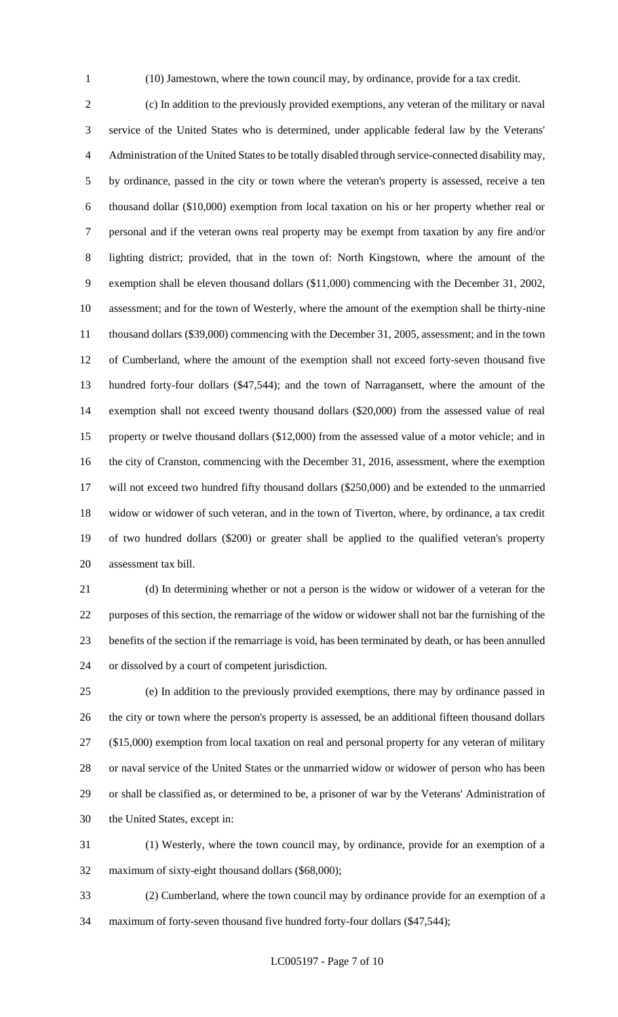(10) Jamestown, where the town council may, by ordinance, provide for a tax credit.

 (c) In addition to the previously provided exemptions, any veteran of the military or naval service of the United States who is determined, under applicable federal law by the Veterans' Administration of the United States to be totally disabled through service-connected disability may, by ordinance, passed in the city or town where the veteran's property is assessed, receive a ten thousand dollar (\$10,000) exemption from local taxation on his or her property whether real or personal and if the veteran owns real property may be exempt from taxation by any fire and/or lighting district; provided, that in the town of: North Kingstown, where the amount of the exemption shall be eleven thousand dollars (\$11,000) commencing with the December 31, 2002, assessment; and for the town of Westerly, where the amount of the exemption shall be thirty-nine thousand dollars (\$39,000) commencing with the December 31, 2005, assessment; and in the town of Cumberland, where the amount of the exemption shall not exceed forty-seven thousand five hundred forty-four dollars (\$47,544); and the town of Narragansett, where the amount of the exemption shall not exceed twenty thousand dollars (\$20,000) from the assessed value of real property or twelve thousand dollars (\$12,000) from the assessed value of a motor vehicle; and in the city of Cranston, commencing with the December 31, 2016, assessment, where the exemption will not exceed two hundred fifty thousand dollars (\$250,000) and be extended to the unmarried widow or widower of such veteran, and in the town of Tiverton, where, by ordinance, a tax credit of two hundred dollars (\$200) or greater shall be applied to the qualified veteran's property assessment tax bill.

 (d) In determining whether or not a person is the widow or widower of a veteran for the purposes of this section, the remarriage of the widow or widower shall not bar the furnishing of the benefits of the section if the remarriage is void, has been terminated by death, or has been annulled or dissolved by a court of competent jurisdiction.

 (e) In addition to the previously provided exemptions, there may by ordinance passed in the city or town where the person's property is assessed, be an additional fifteen thousand dollars (\$15,000) exemption from local taxation on real and personal property for any veteran of military or naval service of the United States or the unmarried widow or widower of person who has been or shall be classified as, or determined to be, a prisoner of war by the Veterans' Administration of the United States, except in:

 (1) Westerly, where the town council may, by ordinance, provide for an exemption of a maximum of sixty-eight thousand dollars (\$68,000);

 (2) Cumberland, where the town council may by ordinance provide for an exemption of a maximum of forty-seven thousand five hundred forty-four dollars (\$47,544);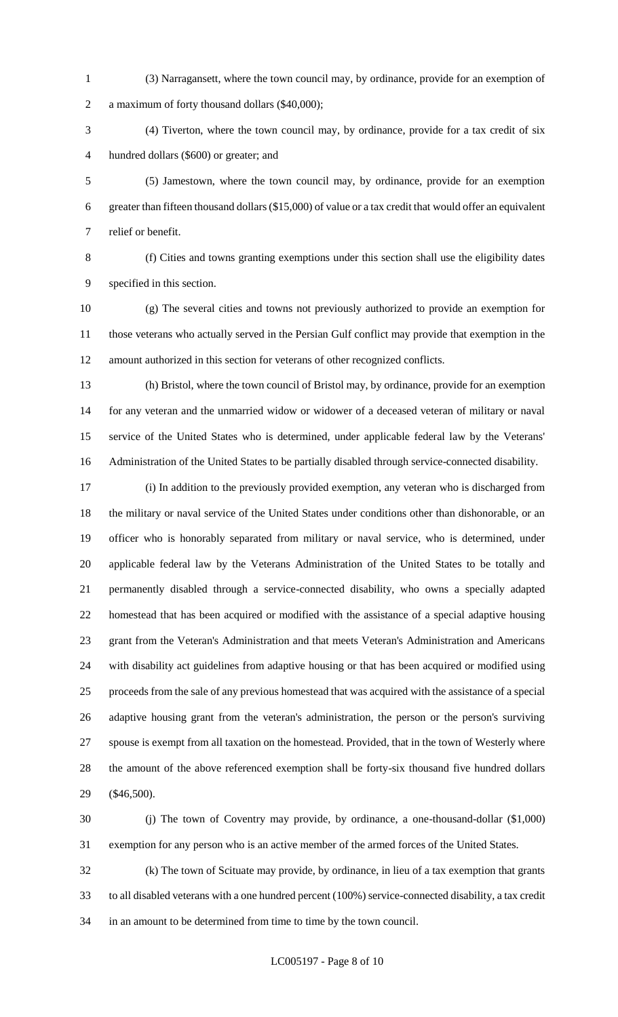(3) Narragansett, where the town council may, by ordinance, provide for an exemption of a maximum of forty thousand dollars (\$40,000);

 (4) Tiverton, where the town council may, by ordinance, provide for a tax credit of six hundred dollars (\$600) or greater; and

 (5) Jamestown, where the town council may, by ordinance, provide for an exemption greater than fifteen thousand dollars (\$15,000) of value or a tax credit that would offer an equivalent relief or benefit.

 (f) Cities and towns granting exemptions under this section shall use the eligibility dates specified in this section.

 (g) The several cities and towns not previously authorized to provide an exemption for those veterans who actually served in the Persian Gulf conflict may provide that exemption in the amount authorized in this section for veterans of other recognized conflicts.

 (h) Bristol, where the town council of Bristol may, by ordinance, provide for an exemption for any veteran and the unmarried widow or widower of a deceased veteran of military or naval service of the United States who is determined, under applicable federal law by the Veterans' Administration of the United States to be partially disabled through service-connected disability.

 (i) In addition to the previously provided exemption, any veteran who is discharged from the military or naval service of the United States under conditions other than dishonorable, or an officer who is honorably separated from military or naval service, who is determined, under applicable federal law by the Veterans Administration of the United States to be totally and permanently disabled through a service-connected disability, who owns a specially adapted homestead that has been acquired or modified with the assistance of a special adaptive housing grant from the Veteran's Administration and that meets Veteran's Administration and Americans with disability act guidelines from adaptive housing or that has been acquired or modified using proceeds from the sale of any previous homestead that was acquired with the assistance of a special adaptive housing grant from the veteran's administration, the person or the person's surviving spouse is exempt from all taxation on the homestead. Provided, that in the town of Westerly where the amount of the above referenced exemption shall be forty-six thousand five hundred dollars (\$46,500).

 (j) The town of Coventry may provide, by ordinance, a one-thousand-dollar (\$1,000) exemption for any person who is an active member of the armed forces of the United States.

 (k) The town of Scituate may provide, by ordinance, in lieu of a tax exemption that grants to all disabled veterans with a one hundred percent (100%) service-connected disability, a tax credit in an amount to be determined from time to time by the town council.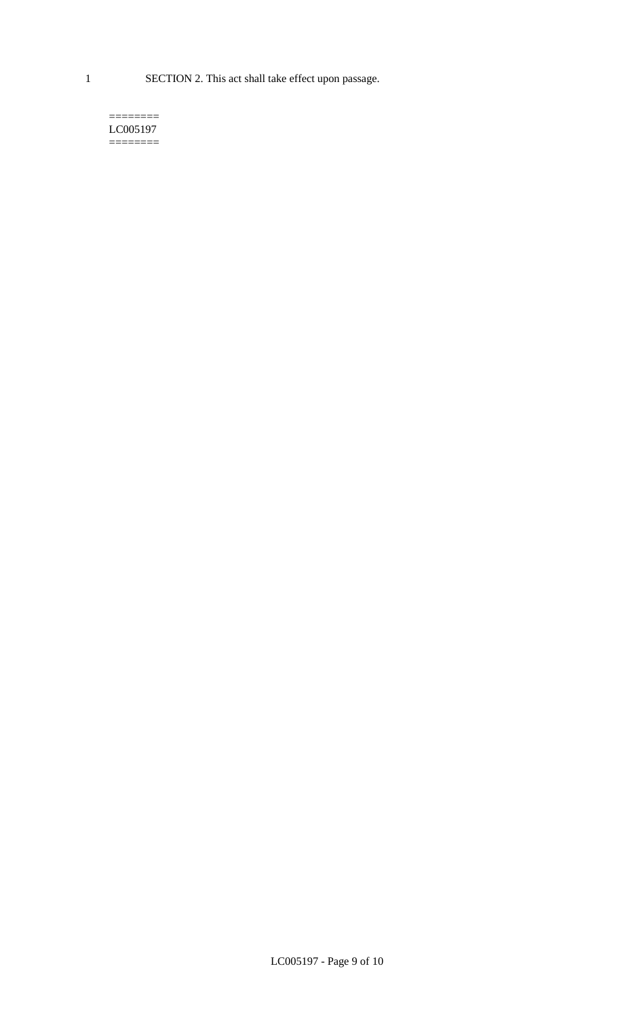1 SECTION 2. This act shall take effect upon passage.

#### $=$ LC005197  $=$